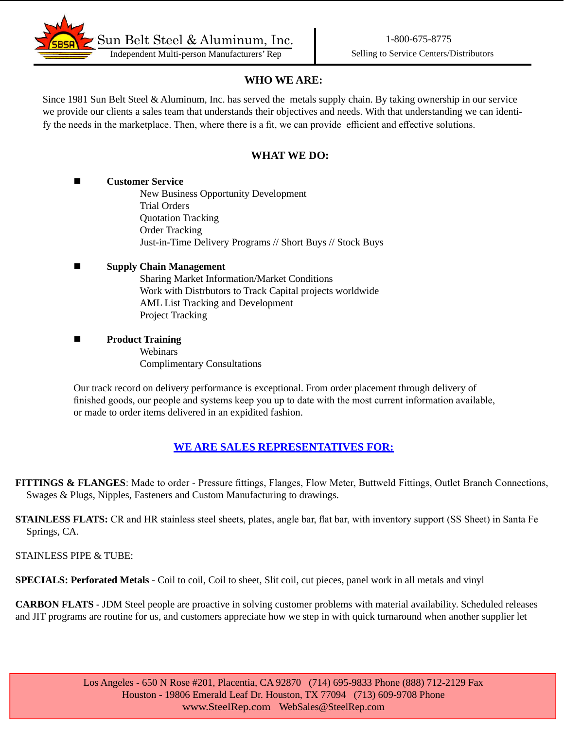

## **WHO WE ARE:**

Since 1981 Sun Belt Steel & Aluminum, Inc. has served the metals supply chain. By taking ownership in our service we provide our clients a sales team that understands their objectives and needs. With that understanding we can identify the needs in the marketplace. Then, where there is a fit, we can provide efficient and effective solutions.

## **WHAT WE DO:**

#### **n Customer Service**

New Business Opportunity Development Trial Orders Quotation Tracking Order Tracking Just-in-Time Delivery Programs // Short Buys // Stock Buys

### ■ Supply Chain Management

Sharing Market Information/Market Conditions Work with Distrbutors to Track Capital projects worldwide AML List Tracking and Development Project Tracking

**n Product Training** 

**Webinars** Complimentary Consultations

Our track record on delivery performance is exceptional. From order placement through delivery of finished goods, our people and systems keep you up to date with the most current information available, or made to order items delivered in an expidited fashion.

## **WE ARE SALES REPRESENTATIVES FOR:**

**FITTINGS & FLANGES**: Made to order - Pressure fittings, Flanges, Flow Meter, Buttweld Fittings, Outlet Branch Connections, Swages & Plugs, Nipples, Fasteners and Custom Manufacturing to drawings.

**STAINLESS FLATS:** CR and HR stainless steel sheets, plates, angle bar, flat bar, with inventory support (SS Sheet) in Santa Fe Springs, CA.

STAINLESS PIPE & TUBE:

**SPECIALS: Perforated Metals** - Coil to coil, Coil to sheet, Slit coil, cut pieces, panel work in all metals and vinyl

**CARBON FLATS** - JDM Steel people are proactive in solving customer problems with material availability. Scheduled releases and JIT programs are routine for us, and customers appreciate how we step in with quick turnaround when another supplier let